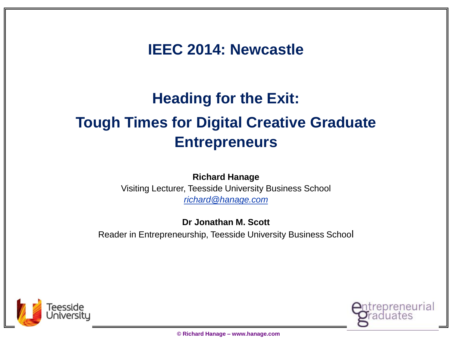**IEEC 2014: Newcastle**

### **Heading for the Exit: Tough Times for Digital Creative Graduate Entrepreneurs**

**Richard Hanage** Visiting Lecturer, Teesside University Business School *richard@hanage.com* 

**Dr Jonathan M. Scott** Reader in Entrepreneurship, Teesside University Business School



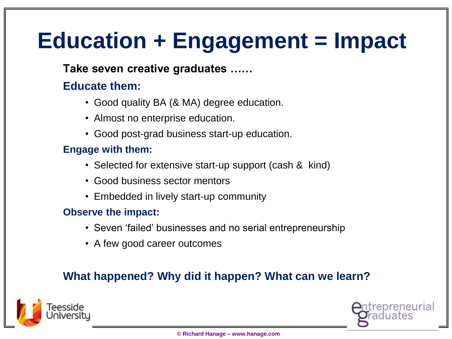## **Education + Engagement = Impact**

#### **Take seven creative graduates ……**

#### **Educate them:**

- Good quality BA (& MA) degree education.
- Almost no enterprise education.
- Good post-grad business start-up education.

#### **Engage with them:**

- Selected for extensive start-up support (cash & kind)
- Good business sector mentors
- Embedded in lively start-up community

#### **Observe the impact:**

- Seven 'failed' businesses and no serial entrepreneurship
- A few good career outcomes

#### **What happened? Why did it happen? What can we learn?**



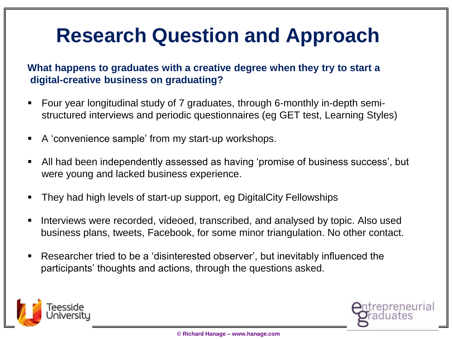### **Research Question and Approach**

#### **What happens to graduates with a creative degree when they try to start a digital-creative business on graduating?**

- Four year longitudinal study of 7 graduates, through 6-monthly in-depth semistructured interviews and periodic questionnaires (eg GET test, Learning Styles)
- A 'convenience sample' from my start-up workshops.
- All had been independently assessed as having 'promise of business success', but were young and lacked business experience.
- They had high levels of start-up support, eg DigitalCity Fellowships
- Interviews were recorded, videoed, transcribed, and analysed by topic. Also used business plans, tweets, Facebook, for some minor triangulation. No other contact.
- Researcher tried to be a 'disinterested observer', but inevitably influenced the participants' thoughts and actions, through the questions asked.



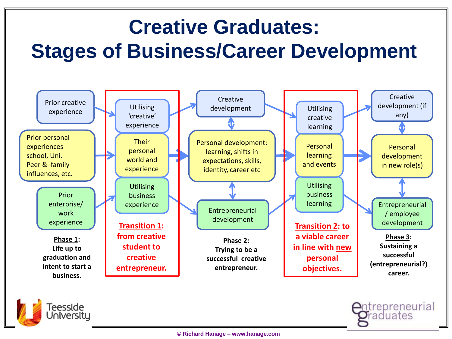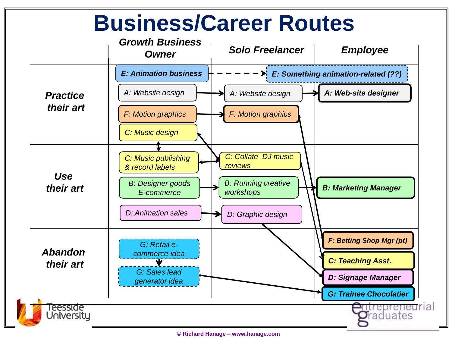

**<sup>©</sup> Richard Hanage – www.hanage.com**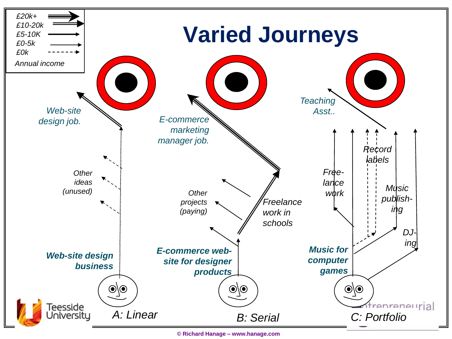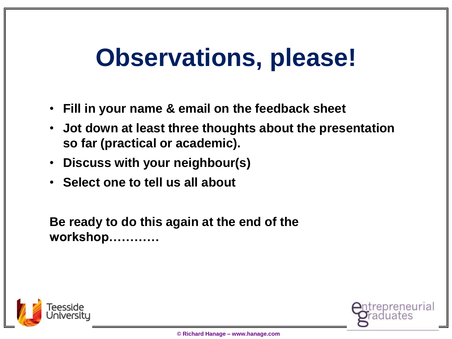# **Observations, please!**

- **Fill in your name & email on the feedback sheet**
- **Jot down at least three thoughts about the presentation so far (practical or academic).**
- **Discuss with your neighbour(s)**
- **Select one to tell us all about**

**Be ready to do this again at the end of the workshop…………**



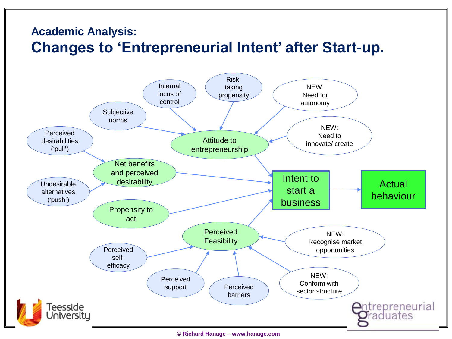### **Academic Analysis: Changes to 'Entrepreneurial Intent' after Start-up.**

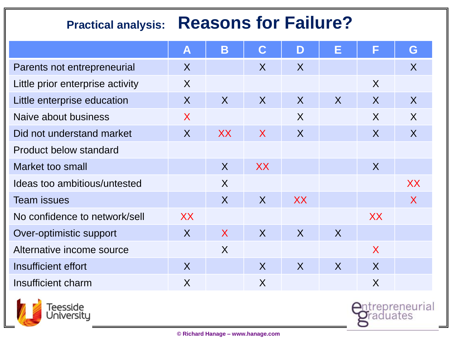### **Practical analysis: Reasons for Failure?**

|                                  | $\blacktriangle$ | B              | C              | D         | Е              | F         | G            |
|----------------------------------|------------------|----------------|----------------|-----------|----------------|-----------|--------------|
| Parents not entrepreneurial      | X                |                | X              | $\sf X$   |                |           | X            |
| Little prior enterprise activity | $\sf X$          |                |                |           |                | X         |              |
| Little enterprise education      | $\sf X$          | $\sf X$        | X              | X         | X              | X         | $\sf X$      |
| Naive about business             | $\sf X$          |                |                | $\sf X$   |                | X         | $\sf X$      |
| Did not understand market        | $\sf X$          | XX             | $\sf X$        | X         |                | X         | $\sf X$      |
| <b>Product below standard</b>    |                  |                |                |           |                |           |              |
| Market too small                 |                  | $\overline{X}$ | <b>XX</b>      |           |                | X         |              |
| Ideas too ambitious/untested     |                  | $\sf X$        |                |           |                |           | XX           |
| <b>Team issues</b>               |                  | $\sf X$        | $\overline{X}$ | <b>XX</b> |                |           | $\mathsf{X}$ |
| No confidence to network/sell    | XX               |                |                |           |                | <b>XX</b> |              |
| Over-optimistic support          | $\sf X$          | $\sf X$        | $\sf X$        | $\sf X$   | X              |           |              |
| Alternative income source        |                  | $\sf X$        |                |           |                | X         |              |
| Insufficient effort              | $\overline{X}$   |                | X              | X         | $\overline{X}$ | X         |              |
| Insufficient charm               | X                |                | X              |           |                | X         |              |

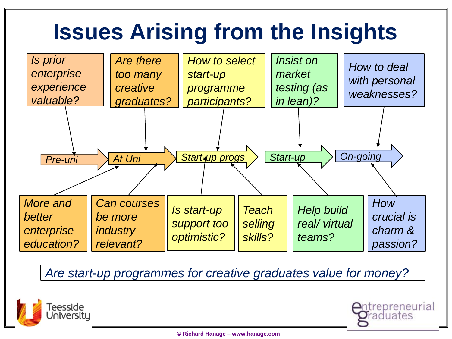## **Issues Arising from the Insights**



*Are start-up programmes for creative graduates value for money?*